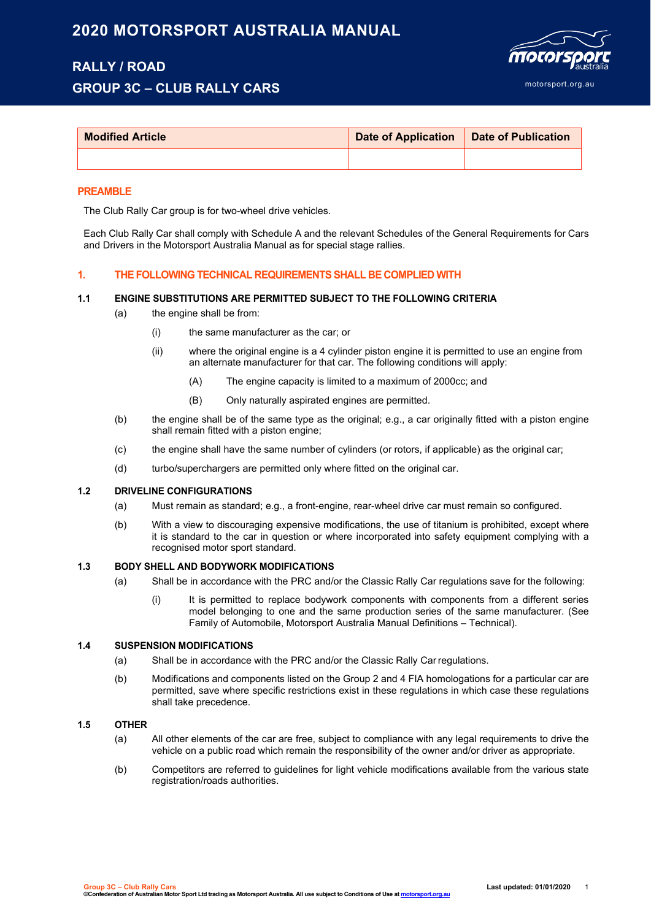# **2020 MOTORSPORT AUSTRALIA MANUAL**

## **RALLY / ROAD GROUP 3C – CLUB RALLY CARS**



| <b>Modified Article</b> | Date of Application   Date of Publication |  |
|-------------------------|-------------------------------------------|--|
|                         |                                           |  |

#### **PREAMBLE**

The Club Rally Car group is for two-wheel drive vehicles.

Each Club Rally Car shall comply with Schedule A and the relevant Schedules of the General Requirements for Cars and Drivers in the Motorsport Australia Manual as for special stage rallies.

### **1. THE FOLLOWING TECHNICAL REQUIREMENTS SHALL BE COMPLIED WITH**

#### **1.1 ENGINE SUBSTITUTIONS ARE PERMITTED SUBJECT TO THE FOLLOWING CRITERIA**

- (a) the engine shall be from:
	- (i) the same manufacturer as the car; or
	- (ii) where the original engine is a 4 cylinder piston engine it is permitted to use an engine from an alternate manufacturer for that car. The following conditions will apply:
		- (A) The engine capacity is limited to a maximum of 2000cc; and
		- (B) Only naturally aspirated engines are permitted.
- (b) the engine shall be of the same type as the original; e.g., a car originally fitted with a piston engine shall remain fitted with a piston engine;
- (c) the engine shall have the same number of cylinders (or rotors, if applicable) as the original car;
- (d) turbo/superchargers are permitted only where fitted on the original car.

#### **1.2 DRIVELINE CONFIGURATIONS**

- (a) Must remain as standard; e.g., a front-engine, rear-wheel drive car must remain so configured.
- (b) With a view to discouraging expensive modifications, the use of titanium is prohibited, except where it is standard to the car in question or where incorporated into safety equipment complying with a recognised motor sport standard.

### **1.3 BODY SHELL AND BODYWORK MODIFICATIONS**

- (a) Shall be in accordance with the PRC and/or the Classic Rally Car regulations save for the following:
	- (i) It is permitted to replace bodywork components with components from a different series model belonging to one and the same production series of the same manufacturer. (See Family of Automobile, Motorsport Australia Manual Definitions – Technical).

#### **1.4 SUSPENSION MODIFICATIONS**

- (a) Shall be in accordance with the PRC and/or the Classic Rally Car regulations.
- (b) Modifications and components listed on the Group 2 and 4 FIA homologations for a particular car are permitted, save where specific restrictions exist in these regulations in which case these regulations shall take precedence.

#### **1.5 OTHER**

- (a) All other elements of the car are free, subject to compliance with any legal requirements to drive the vehicle on a public road which remain the responsibility of the owner and/or driver as appropriate.
- (b) Competitors are referred to guidelines for light vehicle modifications available from the various state registration/roads authorities.